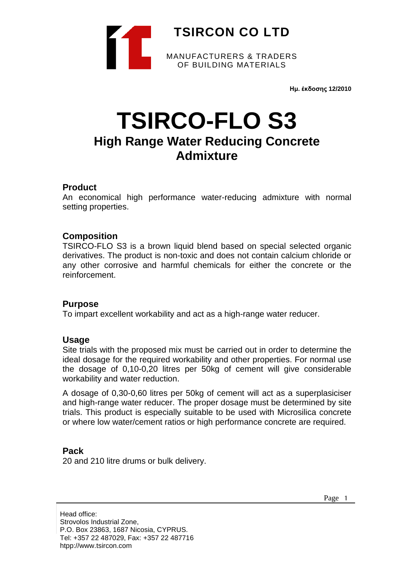

**Ημ. έκδοσης 12/2010**

# **TSIRCO-FLO S3 High Range Water Reducing Concrete Admixture**

## **Product**

An economical high performance water-reducing admixture with normal setting properties.

# **Composition**

TSIRCO-FLO S3 is a brown liquid blend based on special selected organic derivatives. The product is non-toxic and does not contain calcium chloride or any other corrosive and harmful chemicals for either the concrete or the reinforcement.

## **Purpose**

To impart excellent workability and act as a high-range water reducer.

## **Usage**

Site trials with the proposed mix must be carried out in order to determine the ideal dosage for the required workability and other properties. For normal use the dosage of 0,10-0,20 litres per 50kg of cement will give considerable workability and water reduction.

A dosage of 0,30-0,60 litres per 50kg of cement will act as a superplasiciser and high-range water reducer. The proper dosage must be determined by site trials. This product is especially suitable to be used with Microsilica concrete or where low water/cement ratios or high performance concrete are required.

## **Pack**

20 and 210 litre drums or bulk delivery.

Page 1

Head office: Strovolos Industrial Zone, P.O. Box 23863, 1687 Nicosia, CYPRUS. Tel: +357 22 487029, Fax: +357 22 487716 htpp://www.tsircon.com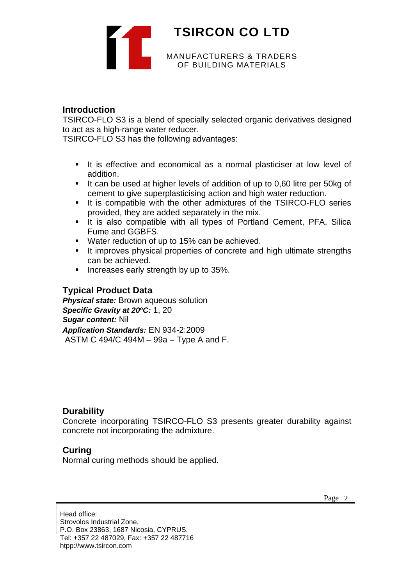

# **Introduction**

TSIRCO-FLO S3 is a blend of specially selected organic derivatives designed to act as a high-range water reducer.

TSIRCO-FLO S3 has the following advantages:

- It is effective and economical as a normal plasticiser at low level of addition.
- It can be used at higher levels of addition of up to 0,60 litre per 50kg of cement to give superplasticising action and high water reduction.
- It is compatible with the other admixtures of the TSIRCO-FLO series provided, they are added separately in the mix.
- It is also compatible with all types of Portland Cement, PFA, Silica Fume and GGBFS.
- Water reduction of up to 15% can be achieved.
- **It improves physical properties of concrete and high ultimate strengths** can be achieved.
- **Increases early strength by up to 35%.**

## **Typical Product Data**

**Physical state:** Brown aqueous solution *Specific Gravity at 20oC:* 1, 20 *Sugar content:* Nil *Application Standards:* EN 934-2:2009 ASTM C 494/C 494M – 99a – Type A and F.

# **Durability**

Concrete incorporating TSIRCO-FLO S3 presents greater durability against concrete not incorporating the admixture.

# **Curing**

Normal curing methods should be applied.

Head office: Strovolos Industrial Zone, P.O. Box 23863, 1687 Nicosia, CYPRUS. Tel: +357 22 487029, Fax: +357 22 487716 htpp://www.tsircon.com

Page 2